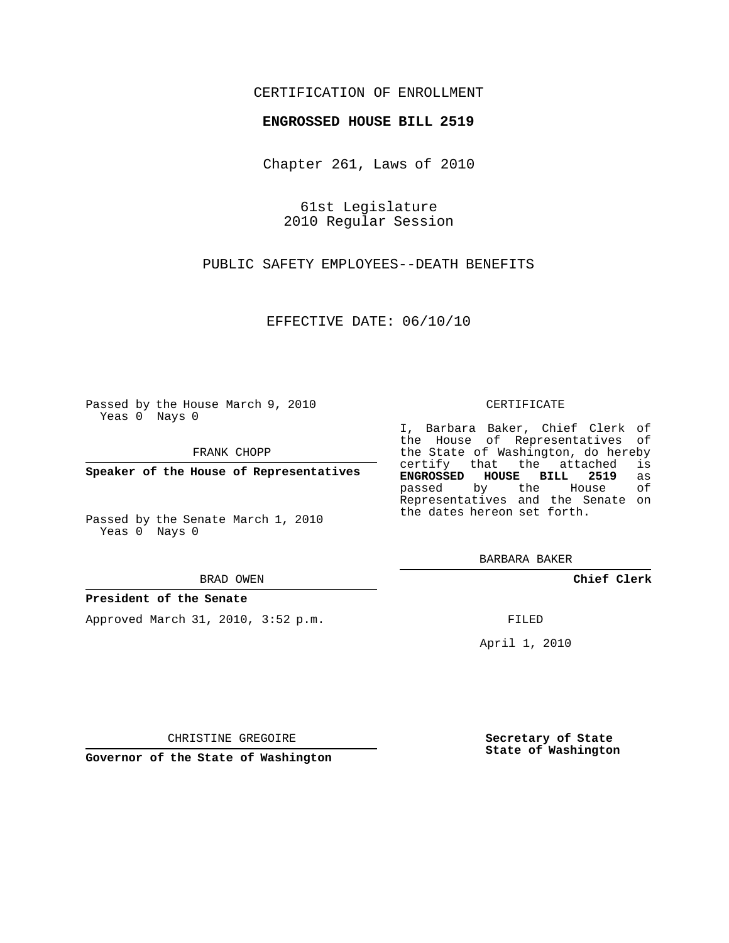## CERTIFICATION OF ENROLLMENT

### **ENGROSSED HOUSE BILL 2519**

Chapter 261, Laws of 2010

61st Legislature 2010 Regular Session

PUBLIC SAFETY EMPLOYEES--DEATH BENEFITS

EFFECTIVE DATE: 06/10/10

Passed by the House March 9, 2010 Yeas 0 Nays 0

FRANK CHOPP

**Speaker of the House of Representatives**

Passed by the Senate March 1, 2010 Yeas 0 Nays 0

#### BRAD OWEN

#### **President of the Senate**

Approved March 31, 2010, 3:52 p.m.

#### CERTIFICATE

I, Barbara Baker, Chief Clerk of the House of Representatives of the State of Washington, do hereby<br>certify that the attached is certify that the attached **ENGROSSED HOUSE BILL 2519** as passed by the House Representatives and the Senate on the dates hereon set forth.

BARBARA BAKER

**Chief Clerk**

FILED

April 1, 2010

CHRISTINE GREGOIRE

**Governor of the State of Washington**

**Secretary of State State of Washington**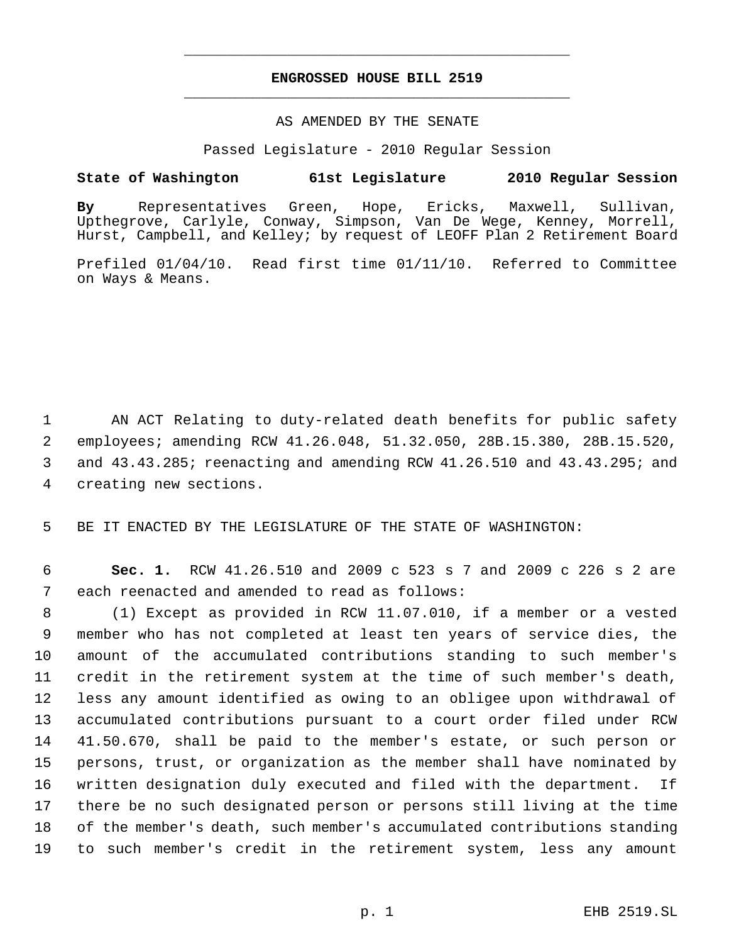# **ENGROSSED HOUSE BILL 2519** \_\_\_\_\_\_\_\_\_\_\_\_\_\_\_\_\_\_\_\_\_\_\_\_\_\_\_\_\_\_\_\_\_\_\_\_\_\_\_\_\_\_\_\_\_

\_\_\_\_\_\_\_\_\_\_\_\_\_\_\_\_\_\_\_\_\_\_\_\_\_\_\_\_\_\_\_\_\_\_\_\_\_\_\_\_\_\_\_\_\_

### AS AMENDED BY THE SENATE

Passed Legislature - 2010 Regular Session

## **State of Washington 61st Legislature 2010 Regular Session**

**By** Representatives Green, Hope, Ericks, Maxwell, Sullivan, Upthegrove, Carlyle, Conway, Simpson, Van De Wege, Kenney, Morrell, Hurst, Campbell, and Kelley; by request of LEOFF Plan 2 Retirement Board

Prefiled 01/04/10. Read first time 01/11/10. Referred to Committee on Ways & Means.

 AN ACT Relating to duty-related death benefits for public safety employees; amending RCW 41.26.048, 51.32.050, 28B.15.380, 28B.15.520, and 43.43.285; reenacting and amending RCW 41.26.510 and 43.43.295; and creating new sections.

BE IT ENACTED BY THE LEGISLATURE OF THE STATE OF WASHINGTON:

 **Sec. 1.** RCW 41.26.510 and 2009 c 523 s 7 and 2009 c 226 s 2 are each reenacted and amended to read as follows:

 (1) Except as provided in RCW 11.07.010, if a member or a vested member who has not completed at least ten years of service dies, the amount of the accumulated contributions standing to such member's credit in the retirement system at the time of such member's death, less any amount identified as owing to an obligee upon withdrawal of accumulated contributions pursuant to a court order filed under RCW 41.50.670, shall be paid to the member's estate, or such person or persons, trust, or organization as the member shall have nominated by written designation duly executed and filed with the department. If there be no such designated person or persons still living at the time of the member's death, such member's accumulated contributions standing to such member's credit in the retirement system, less any amount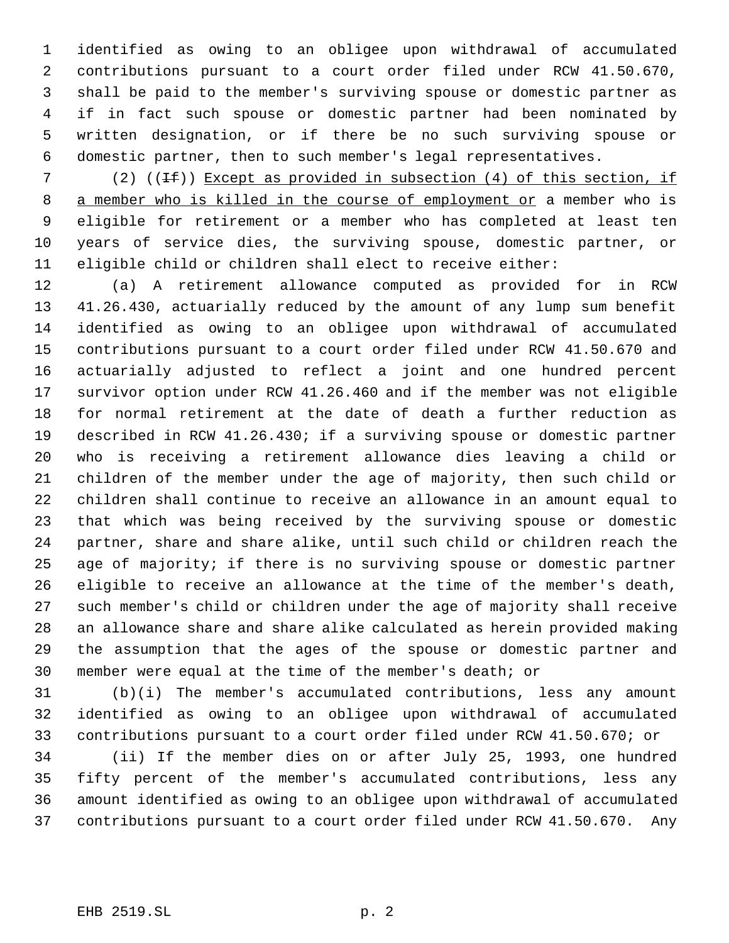identified as owing to an obligee upon withdrawal of accumulated contributions pursuant to a court order filed under RCW 41.50.670, shall be paid to the member's surviving spouse or domestic partner as if in fact such spouse or domestic partner had been nominated by written designation, or if there be no such surviving spouse or domestic partner, then to such member's legal representatives.

7 (2) ( $(\pm \text{f})$ ) Except as provided in subsection (4) of this section, if 8 a member who is killed in the course of employment or a member who is eligible for retirement or a member who has completed at least ten years of service dies, the surviving spouse, domestic partner, or eligible child or children shall elect to receive either:

 (a) A retirement allowance computed as provided for in RCW 41.26.430, actuarially reduced by the amount of any lump sum benefit identified as owing to an obligee upon withdrawal of accumulated contributions pursuant to a court order filed under RCW 41.50.670 and actuarially adjusted to reflect a joint and one hundred percent survivor option under RCW 41.26.460 and if the member was not eligible for normal retirement at the date of death a further reduction as described in RCW 41.26.430; if a surviving spouse or domestic partner who is receiving a retirement allowance dies leaving a child or children of the member under the age of majority, then such child or children shall continue to receive an allowance in an amount equal to that which was being received by the surviving spouse or domestic partner, share and share alike, until such child or children reach the age of majority; if there is no surviving spouse or domestic partner eligible to receive an allowance at the time of the member's death, such member's child or children under the age of majority shall receive an allowance share and share alike calculated as herein provided making the assumption that the ages of the spouse or domestic partner and member were equal at the time of the member's death; or

 (b)(i) The member's accumulated contributions, less any amount identified as owing to an obligee upon withdrawal of accumulated contributions pursuant to a court order filed under RCW 41.50.670; or

 (ii) If the member dies on or after July 25, 1993, one hundred fifty percent of the member's accumulated contributions, less any amount identified as owing to an obligee upon withdrawal of accumulated contributions pursuant to a court order filed under RCW 41.50.670. Any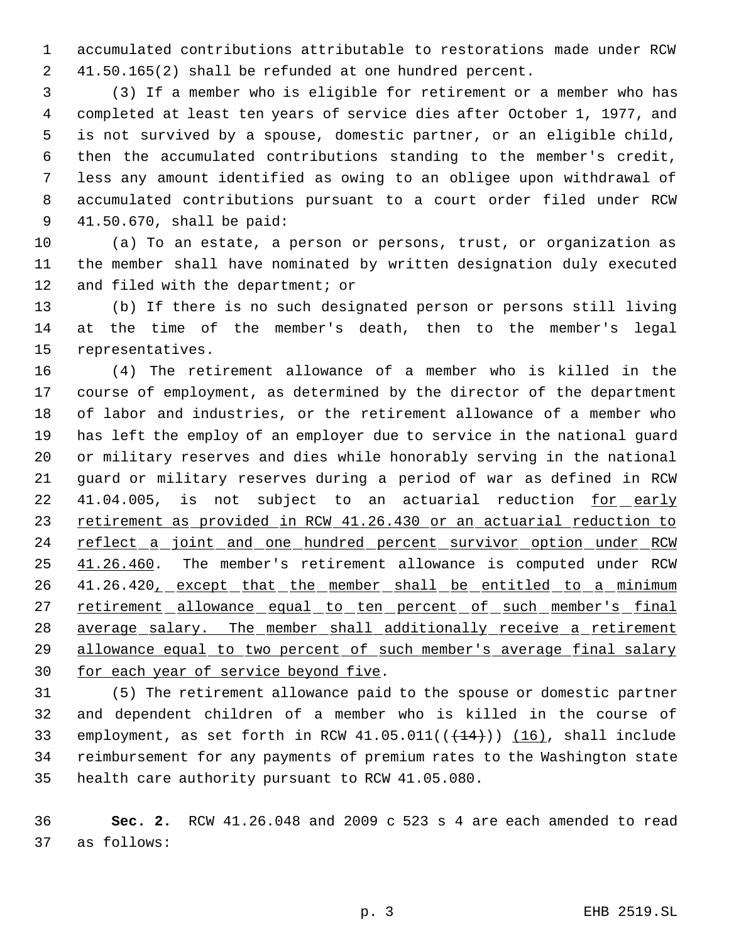accumulated contributions attributable to restorations made under RCW 41.50.165(2) shall be refunded at one hundred percent.

 (3) If a member who is eligible for retirement or a member who has completed at least ten years of service dies after October 1, 1977, and is not survived by a spouse, domestic partner, or an eligible child, then the accumulated contributions standing to the member's credit, less any amount identified as owing to an obligee upon withdrawal of accumulated contributions pursuant to a court order filed under RCW 41.50.670, shall be paid:

 (a) To an estate, a person or persons, trust, or organization as the member shall have nominated by written designation duly executed and filed with the department; or

 (b) If there is no such designated person or persons still living at the time of the member's death, then to the member's legal representatives.

 (4) The retirement allowance of a member who is killed in the course of employment, as determined by the director of the department of labor and industries, or the retirement allowance of a member who has left the employ of an employer due to service in the national guard or military reserves and dies while honorably serving in the national guard or military reserves during a period of war as defined in RCW 22 41.04.005, is not subject to an actuarial reduction for early 23 retirement as provided in RCW 41.26.430 or an actuarial reduction to 24 reflect a joint and one hundred percent survivor option under RCW 25 41.26.460. The member's retirement allowance is computed under RCW 26 41.26.420, except that the member shall be entitled to a minimum 27 retirement allowance equal to ten percent of such member's final 28 average salary. The member shall additionally receive a retirement allowance equal to two percent of such member's average final salary 30 for each year of service beyond five.

 (5) The retirement allowance paid to the spouse or domestic partner and dependent children of a member who is killed in the course of 33 employment, as set forth in RCW  $41.05.011((+14))$   $(16)$ , shall include reimbursement for any payments of premium rates to the Washington state health care authority pursuant to RCW 41.05.080.

 **Sec. 2.** RCW 41.26.048 and 2009 c 523 s 4 are each amended to read as follows: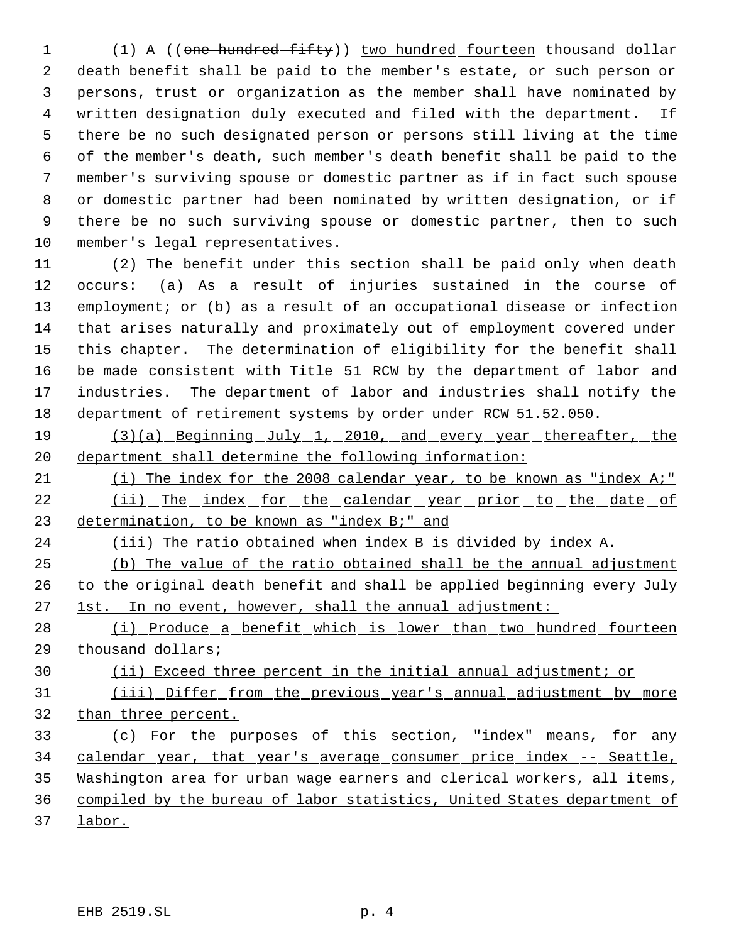(1) A ((one hundred fifty)) two hundred fourteen thousand dollar death benefit shall be paid to the member's estate, or such person or persons, trust or organization as the member shall have nominated by written designation duly executed and filed with the department. If there be no such designated person or persons still living at the time of the member's death, such member's death benefit shall be paid to the member's surviving spouse or domestic partner as if in fact such spouse or domestic partner had been nominated by written designation, or if there be no such surviving spouse or domestic partner, then to such member's legal representatives.

 (2) The benefit under this section shall be paid only when death occurs: (a) As a result of injuries sustained in the course of employment; or (b) as a result of an occupational disease or infection that arises naturally and proximately out of employment covered under this chapter. The determination of eligibility for the benefit shall be made consistent with Title 51 RCW by the department of labor and industries. The department of labor and industries shall notify the department of retirement systems by order under RCW 51.52.050.

19 (3)(a) Beginning July 1, 2010, and every year thereafter, the department shall determine the following information:

 (i) The index for the 2008 calendar year, to be known as "index A;" (ii) The index for the calendar year prior to the date of determination, to be known as "index B;" and

(iii) The ratio obtained when index B is divided by index A.

 (b) The value of the ratio obtained shall be the annual adjustment to the original death benefit and shall be applied beginning every July 27 1st. In no event, however, shall the annual adjustment:

 (i) Produce a benefit which is lower than two hundred fourteen thousand dollars;

(ii) Exceed three percent in the initial annual adjustment; or

 (iii) Differ from the previous year's annual adjustment by more than three percent.

 (c) For the purposes of this section, "index" means, for any 34 calendar year, that year's average consumer price index -- Seattle, Washington area for urban wage earners and clerical workers, all items, compiled by the bureau of labor statistics, United States department of

labor.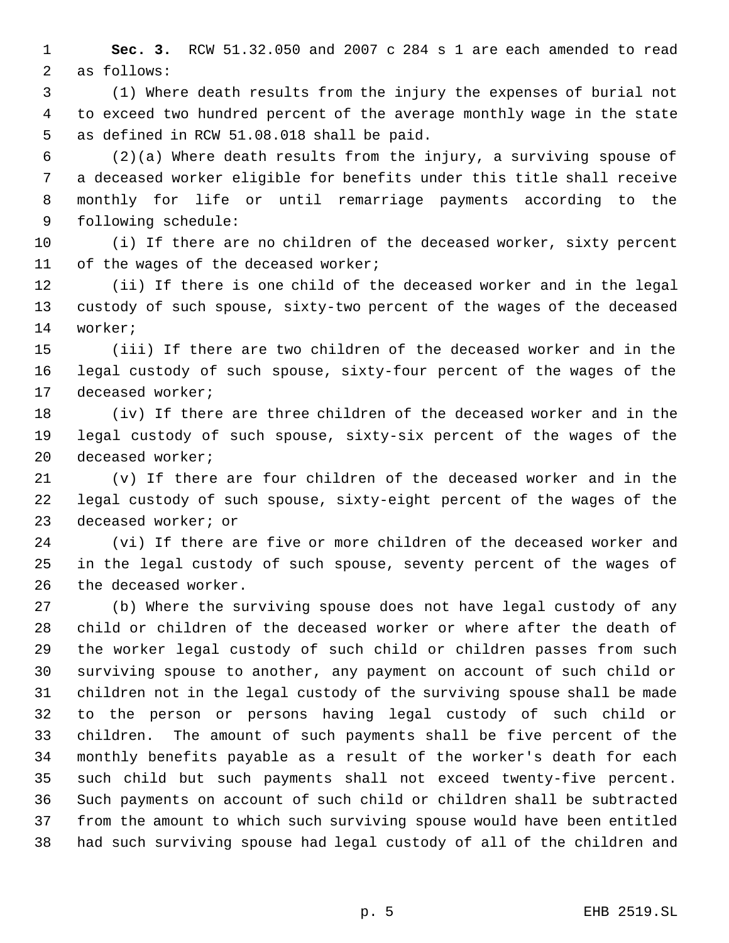**Sec. 3.** RCW 51.32.050 and 2007 c 284 s 1 are each amended to read as follows:

 (1) Where death results from the injury the expenses of burial not to exceed two hundred percent of the average monthly wage in the state as defined in RCW 51.08.018 shall be paid.

 (2)(a) Where death results from the injury, a surviving spouse of a deceased worker eligible for benefits under this title shall receive monthly for life or until remarriage payments according to the following schedule:

 (i) If there are no children of the deceased worker, sixty percent of the wages of the deceased worker;

 (ii) If there is one child of the deceased worker and in the legal custody of such spouse, sixty-two percent of the wages of the deceased worker;

 (iii) If there are two children of the deceased worker and in the legal custody of such spouse, sixty-four percent of the wages of the deceased worker;

 (iv) If there are three children of the deceased worker and in the legal custody of such spouse, sixty-six percent of the wages of the deceased worker;

 (v) If there are four children of the deceased worker and in the legal custody of such spouse, sixty-eight percent of the wages of the deceased worker; or

 (vi) If there are five or more children of the deceased worker and in the legal custody of such spouse, seventy percent of the wages of the deceased worker.

 (b) Where the surviving spouse does not have legal custody of any child or children of the deceased worker or where after the death of the worker legal custody of such child or children passes from such surviving spouse to another, any payment on account of such child or children not in the legal custody of the surviving spouse shall be made to the person or persons having legal custody of such child or children. The amount of such payments shall be five percent of the monthly benefits payable as a result of the worker's death for each such child but such payments shall not exceed twenty-five percent. Such payments on account of such child or children shall be subtracted from the amount to which such surviving spouse would have been entitled had such surviving spouse had legal custody of all of the children and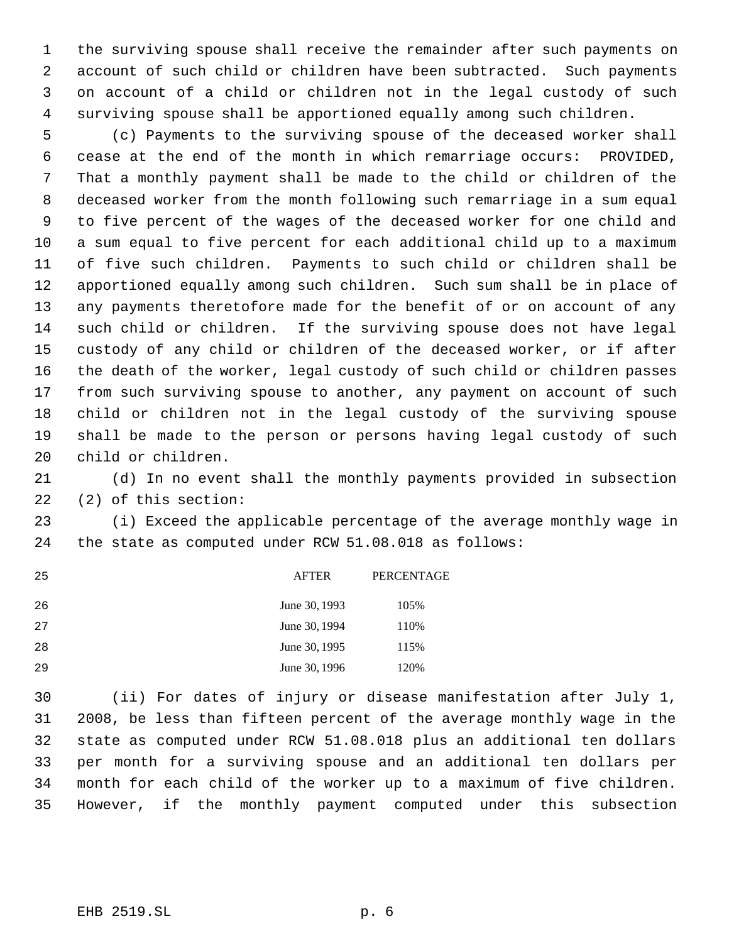the surviving spouse shall receive the remainder after such payments on account of such child or children have been subtracted. Such payments on account of a child or children not in the legal custody of such surviving spouse shall be apportioned equally among such children.

 (c) Payments to the surviving spouse of the deceased worker shall cease at the end of the month in which remarriage occurs: PROVIDED, That a monthly payment shall be made to the child or children of the deceased worker from the month following such remarriage in a sum equal to five percent of the wages of the deceased worker for one child and a sum equal to five percent for each additional child up to a maximum of five such children. Payments to such child or children shall be apportioned equally among such children. Such sum shall be in place of any payments theretofore made for the benefit of or on account of any such child or children. If the surviving spouse does not have legal custody of any child or children of the deceased worker, or if after the death of the worker, legal custody of such child or children passes from such surviving spouse to another, any payment on account of such child or children not in the legal custody of the surviving spouse shall be made to the person or persons having legal custody of such child or children.

 (d) In no event shall the monthly payments provided in subsection (2) of this section:

 (i) Exceed the applicable percentage of the average monthly wage in the state as computed under RCW 51.08.018 as follows:

| 25 | <b>AFTER</b>  | PERCENTAGE |
|----|---------------|------------|
| 26 | June 30, 1993 | 105%       |
| 27 | June 30, 1994 | 110%       |
| 28 | June 30, 1995 | 115%       |
| 29 | June 30, 1996 | 120%       |

 (ii) For dates of injury or disease manifestation after July 1, 2008, be less than fifteen percent of the average monthly wage in the state as computed under RCW 51.08.018 plus an additional ten dollars per month for a surviving spouse and an additional ten dollars per month for each child of the worker up to a maximum of five children. However, if the monthly payment computed under this subsection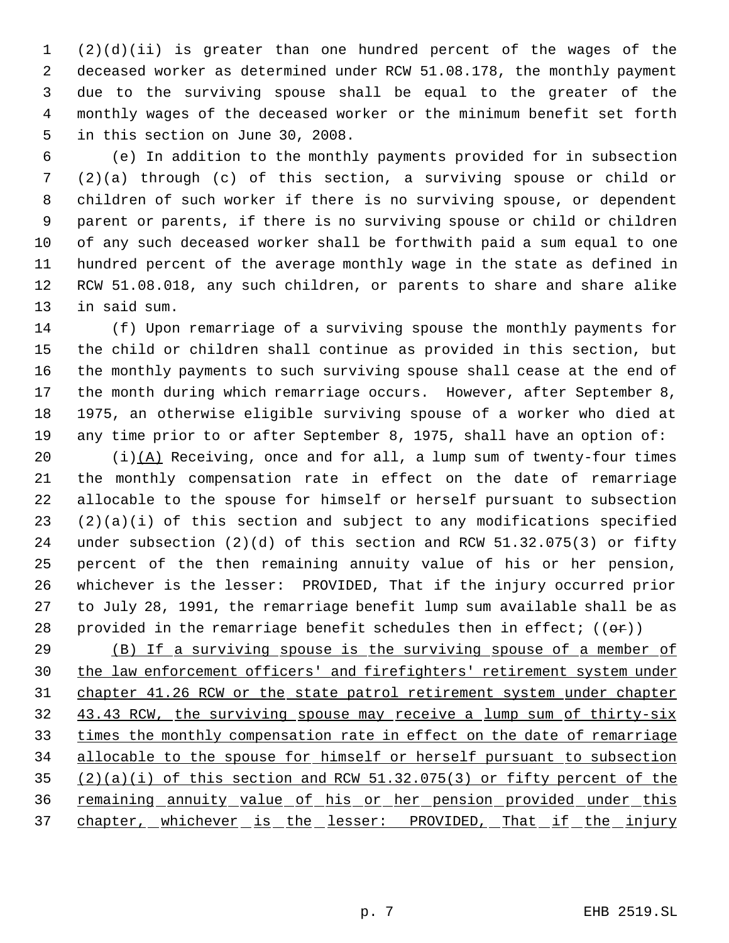(2)(d)(ii) is greater than one hundred percent of the wages of the deceased worker as determined under RCW 51.08.178, the monthly payment due to the surviving spouse shall be equal to the greater of the monthly wages of the deceased worker or the minimum benefit set forth in this section on June 30, 2008.

 (e) In addition to the monthly payments provided for in subsection (2)(a) through (c) of this section, a surviving spouse or child or children of such worker if there is no surviving spouse, or dependent parent or parents, if there is no surviving spouse or child or children of any such deceased worker shall be forthwith paid a sum equal to one hundred percent of the average monthly wage in the state as defined in RCW 51.08.018, any such children, or parents to share and share alike in said sum.

 (f) Upon remarriage of a surviving spouse the monthly payments for the child or children shall continue as provided in this section, but the monthly payments to such surviving spouse shall cease at the end of the month during which remarriage occurs. However, after September 8, 1975, an otherwise eligible surviving spouse of a worker who died at any time prior to or after September 8, 1975, shall have an option of:

 $(i)(A)$  Receiving, once and for all, a lump sum of twenty-four times the monthly compensation rate in effect on the date of remarriage allocable to the spouse for himself or herself pursuant to subsection  $(2)(a)(i)$  of this section and subject to any modifications specified under subsection (2)(d) of this section and RCW 51.32.075(3) or fifty percent of the then remaining annuity value of his or her pension, whichever is the lesser: PROVIDED, That if the injury occurred prior to July 28, 1991, the remarriage benefit lump sum available shall be as 28 provided in the remarriage benefit schedules then in effect;  $((\theta \cdot \mathbf{r}))$ 

29 (B) If a surviving spouse is the surviving spouse of a member of the law enforcement officers' and firefighters' retirement system under chapter 41.26 RCW or the state patrol retirement system under chapter 43.43 RCW, the surviving spouse may receive a lump sum of thirty-six times the monthly compensation rate in effect on the date of remarriage 34 allocable to the spouse for himself or herself pursuant to subsection 35  $(2)(a)(i)$  of this section and RCW 51.32.075(3) or fifty percent of the 36 remaining annuity value of his or her pension provided under this 37 chapter, whichever is the lesser: PROVIDED, That if the injury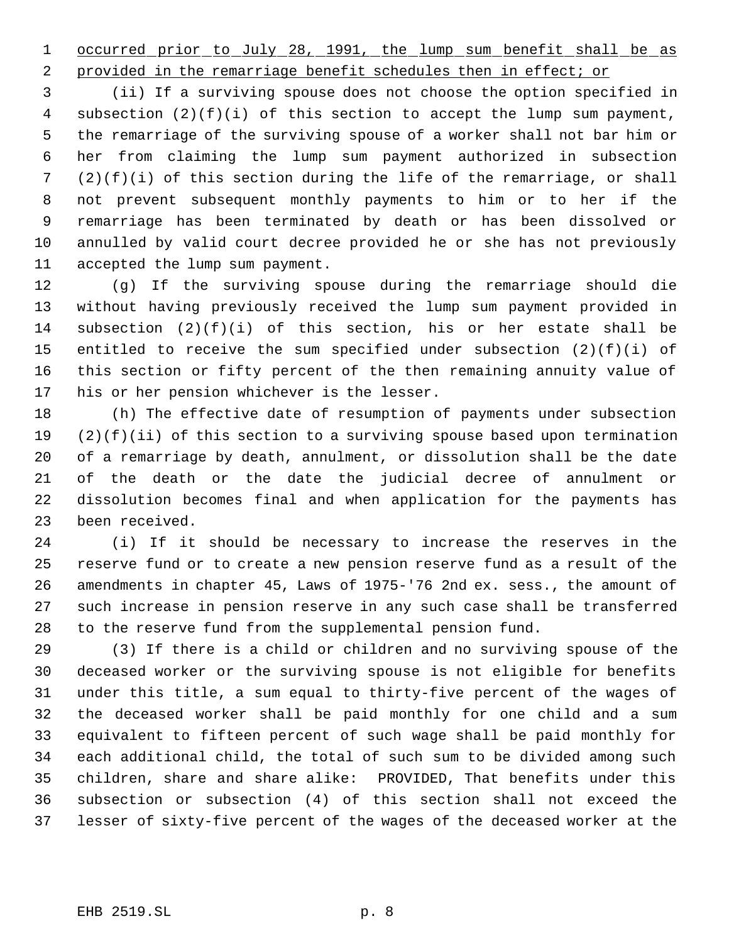1 occurred prior to July 28, 1991, the lump sum benefit shall be as

2 provided in the remarriage benefit schedules then in effect; or

 (ii) If a surviving spouse does not choose the option specified in subsection (2)(f)(i) of this section to accept the lump sum payment, the remarriage of the surviving spouse of a worker shall not bar him or her from claiming the lump sum payment authorized in subsection (2)(f)(i) of this section during the life of the remarriage, or shall not prevent subsequent monthly payments to him or to her if the remarriage has been terminated by death or has been dissolved or annulled by valid court decree provided he or she has not previously accepted the lump sum payment.

 (g) If the surviving spouse during the remarriage should die without having previously received the lump sum payment provided in 14 subsection  $(2)(f)(i)$  of this section, his or her estate shall be entitled to receive the sum specified under subsection (2)(f)(i) of this section or fifty percent of the then remaining annuity value of his or her pension whichever is the lesser.

 (h) The effective date of resumption of payments under subsection (2)(f)(ii) of this section to a surviving spouse based upon termination of a remarriage by death, annulment, or dissolution shall be the date of the death or the date the judicial decree of annulment or dissolution becomes final and when application for the payments has been received.

 (i) If it should be necessary to increase the reserves in the reserve fund or to create a new pension reserve fund as a result of the amendments in chapter 45, Laws of 1975-'76 2nd ex. sess., the amount of such increase in pension reserve in any such case shall be transferred to the reserve fund from the supplemental pension fund.

 (3) If there is a child or children and no surviving spouse of the deceased worker or the surviving spouse is not eligible for benefits under this title, a sum equal to thirty-five percent of the wages of the deceased worker shall be paid monthly for one child and a sum equivalent to fifteen percent of such wage shall be paid monthly for each additional child, the total of such sum to be divided among such children, share and share alike: PROVIDED, That benefits under this subsection or subsection (4) of this section shall not exceed the lesser of sixty-five percent of the wages of the deceased worker at the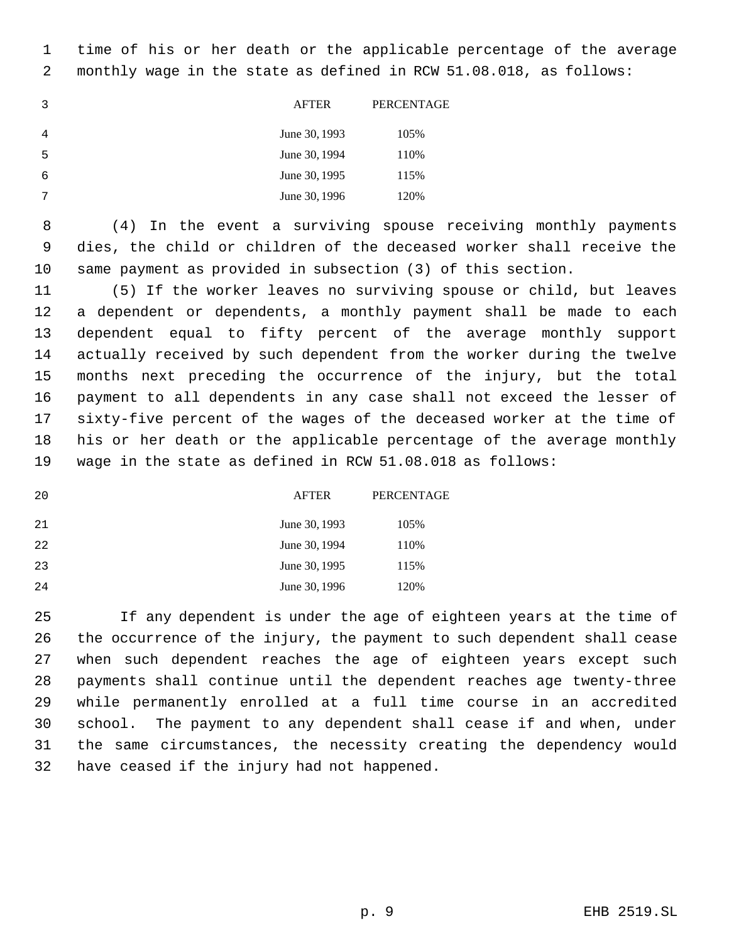time of his or her death or the applicable percentage of the average monthly wage in the state as defined in RCW 51.08.018, as follows:

|   | <b>AFTER</b>  | PERCENTAGE |
|---|---------------|------------|
| 4 | June 30, 1993 | 105%       |
| 5 | June 30, 1994 | 110%       |
| 6 | June 30, 1995 | 115%       |
| 7 | June 30, 1996 | 120%       |

 (4) In the event a surviving spouse receiving monthly payments dies, the child or children of the deceased worker shall receive the same payment as provided in subsection (3) of this section.

 (5) If the worker leaves no surviving spouse or child, but leaves a dependent or dependents, a monthly payment shall be made to each dependent equal to fifty percent of the average monthly support actually received by such dependent from the worker during the twelve months next preceding the occurrence of the injury, but the total payment to all dependents in any case shall not exceed the lesser of sixty-five percent of the wages of the deceased worker at the time of his or her death or the applicable percentage of the average monthly wage in the state as defined in RCW 51.08.018 as follows:

| 20 | <b>AFTER</b>  | PERCENTAGE |
|----|---------------|------------|
| 21 | June 30, 1993 | 105%       |
| 22 | June 30, 1994 | 110%       |
| 23 | June 30, 1995 | 115%       |
| 24 | June 30, 1996 | 120%       |

25 If any dependent is under the age of eighteen years at the time of the occurrence of the injury, the payment to such dependent shall cease when such dependent reaches the age of eighteen years except such payments shall continue until the dependent reaches age twenty-three while permanently enrolled at a full time course in an accredited school. The payment to any dependent shall cease if and when, under the same circumstances, the necessity creating the dependency would have ceased if the injury had not happened.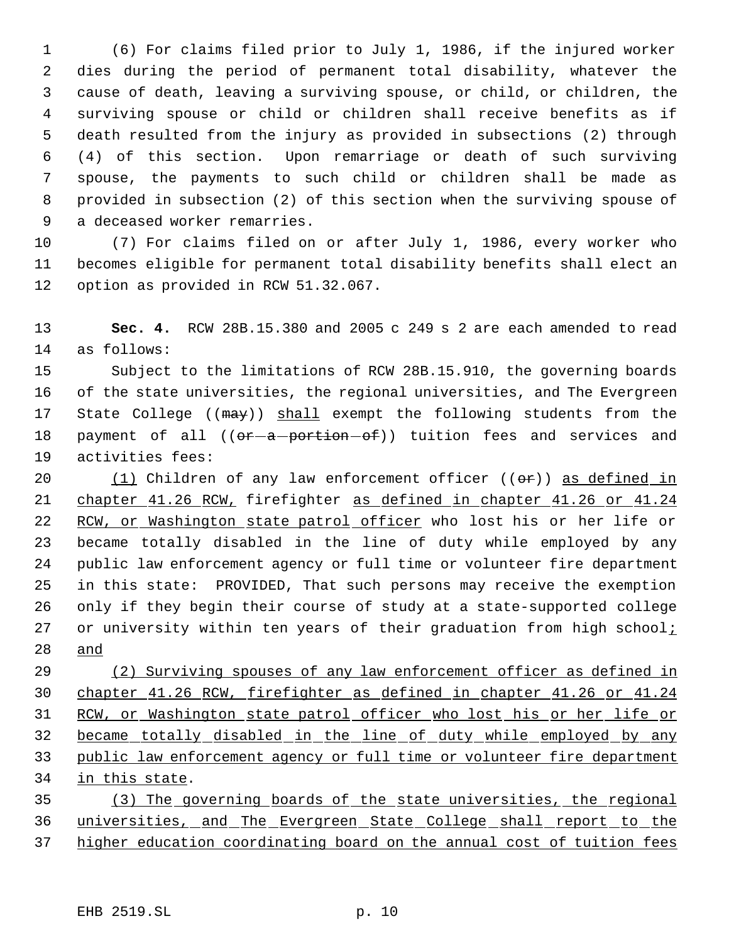(6) For claims filed prior to July 1, 1986, if the injured worker dies during the period of permanent total disability, whatever the cause of death, leaving a surviving spouse, or child, or children, the surviving spouse or child or children shall receive benefits as if death resulted from the injury as provided in subsections (2) through (4) of this section. Upon remarriage or death of such surviving spouse, the payments to such child or children shall be made as provided in subsection (2) of this section when the surviving spouse of a deceased worker remarries.

 (7) For claims filed on or after July 1, 1986, every worker who becomes eligible for permanent total disability benefits shall elect an option as provided in RCW 51.32.067.

 **Sec. 4.** RCW 28B.15.380 and 2005 c 249 s 2 are each amended to read as follows:

 Subject to the limitations of RCW 28B.15.910, the governing boards of the state universities, the regional universities, and The Evergreen 17 State College (( $\text{max}$ )) shall exempt the following students from the 18 payment of all ((or-a-portion-of)) tuition fees and services and activities fees:

20 (1) Children of any law enforcement officer  $((\theta \cdot \hat{r}))$  as defined in chapter 41.26 RCW, firefighter as defined in chapter 41.26 or 41.24 22 RCW, or Washington state patrol officer who lost his or her life or became totally disabled in the line of duty while employed by any public law enforcement agency or full time or volunteer fire department in this state: PROVIDED, That such persons may receive the exemption only if they begin their course of study at a state-supported college 27 or university within ten years of their graduation from high school $i$ and

29 (2) Surviving spouses of any law enforcement officer as defined in chapter 41.26 RCW, firefighter as defined in chapter 41.26 or 41.24 RCW, or Washington state patrol officer who lost his or her life or became totally disabled in the line of duty while employed by any 33 public law enforcement agency or full time or volunteer fire department in this state.

 (3) The governing boards of the state universities, the regional 36 universities, and The Evergreen State College shall report to the higher education coordinating board on the annual cost of tuition fees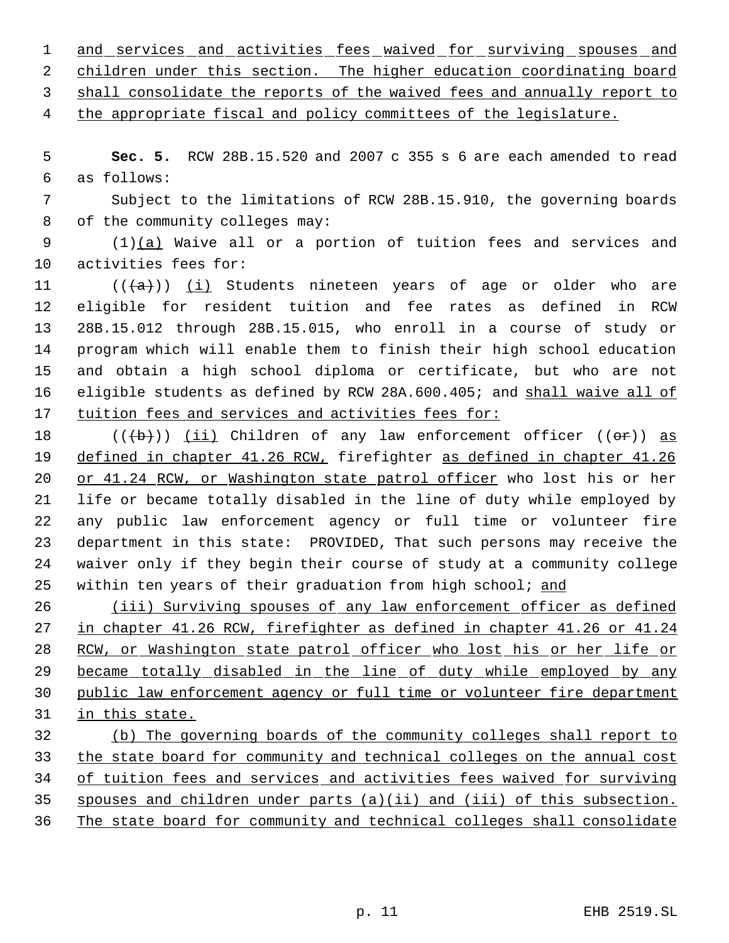1 and services and activities fees waived for surviving spouses and 2 children under this section. The higher education coordinating board shall consolidate the reports of the waived fees and annually report to

4 the appropriate fiscal and policy committees of the legislature.

 **Sec. 5.** RCW 28B.15.520 and 2007 c 355 s 6 are each amended to read as follows:

 Subject to the limitations of RCW 28B.15.910, the governing boards of the community colleges may:

 (1)(a) Waive all or a portion of tuition fees and services and activities fees for:

 $((+a))$   $(i)$  Students nineteen years of age or older who are eligible for resident tuition and fee rates as defined in RCW 28B.15.012 through 28B.15.015, who enroll in a course of study or program which will enable them to finish their high school education and obtain a high school diploma or certificate, but who are not 16 eligible students as defined by RCW 28A.600.405; and shall waive all of tuition fees and services and activities fees for:

 $((\{b\})$  (ii) Children of any law enforcement officer  $((\theta \cdot \mathbf{r}))$  as defined in chapter 41.26 RCW, firefighter as defined in chapter 41.26 or 41.24 RCW, or Washington state patrol officer who lost his or her life or became totally disabled in the line of duty while employed by any public law enforcement agency or full time or volunteer fire department in this state: PROVIDED, That such persons may receive the waiver only if they begin their course of study at a community college 25 within ten years of their graduation from high school; and

26 (iii) Surviving spouses of any law enforcement officer as defined in chapter 41.26 RCW, firefighter as defined in chapter 41.26 or 41.24 RCW, or Washington state patrol officer who lost his or her life or 29 became totally disabled in the line of duty while employed by any public law enforcement agency or full time or volunteer fire department in this state.

 (b) The governing boards of the community colleges shall report to the state board for community and technical colleges on the annual cost of tuition fees and services and activities fees waived for surviving spouses and children under parts (a)(ii) and (iii) of this subsection. The state board for community and technical colleges shall consolidate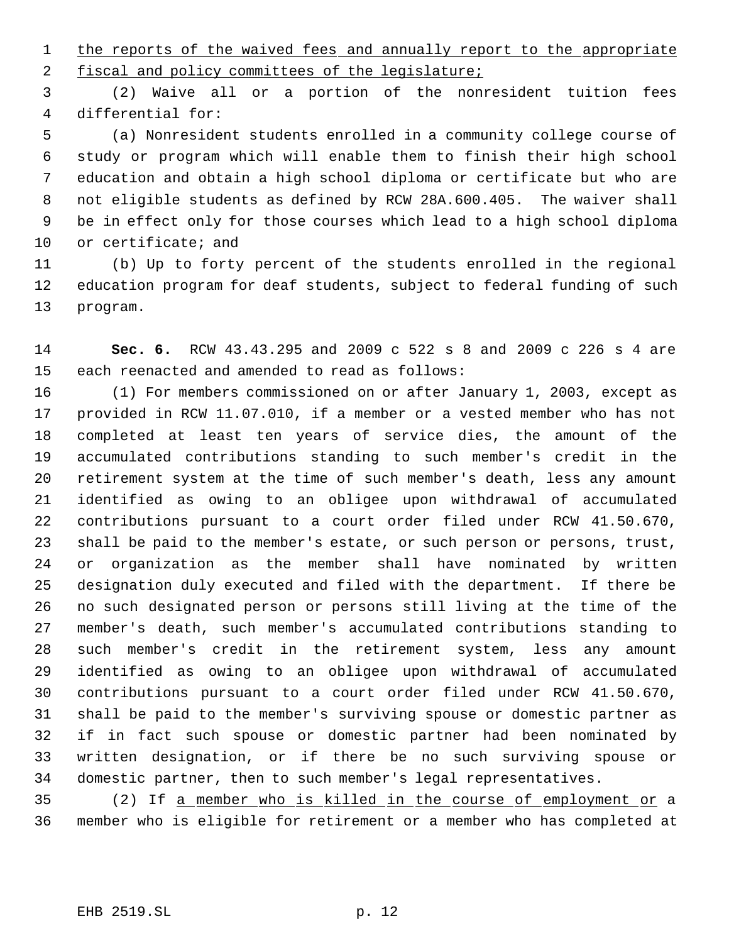1 the reports of the waived fees and annually report to the appropriate

2 fiscal and policy committees of the legislature;

 (2) Waive all or a portion of the nonresident tuition fees differential for:

 (a) Nonresident students enrolled in a community college course of study or program which will enable them to finish their high school education and obtain a high school diploma or certificate but who are not eligible students as defined by RCW 28A.600.405. The waiver shall be in effect only for those courses which lead to a high school diploma or certificate; and

 (b) Up to forty percent of the students enrolled in the regional education program for deaf students, subject to federal funding of such program.

 **Sec. 6.** RCW 43.43.295 and 2009 c 522 s 8 and 2009 c 226 s 4 are each reenacted and amended to read as follows:

 (1) For members commissioned on or after January 1, 2003, except as provided in RCW 11.07.010, if a member or a vested member who has not completed at least ten years of service dies, the amount of the accumulated contributions standing to such member's credit in the retirement system at the time of such member's death, less any amount identified as owing to an obligee upon withdrawal of accumulated contributions pursuant to a court order filed under RCW 41.50.670, shall be paid to the member's estate, or such person or persons, trust, or organization as the member shall have nominated by written designation duly executed and filed with the department. If there be no such designated person or persons still living at the time of the member's death, such member's accumulated contributions standing to such member's credit in the retirement system, less any amount identified as owing to an obligee upon withdrawal of accumulated contributions pursuant to a court order filed under RCW 41.50.670, shall be paid to the member's surviving spouse or domestic partner as if in fact such spouse or domestic partner had been nominated by written designation, or if there be no such surviving spouse or domestic partner, then to such member's legal representatives.

 (2) If a member who is killed in the course of employment or a member who is eligible for retirement or a member who has completed at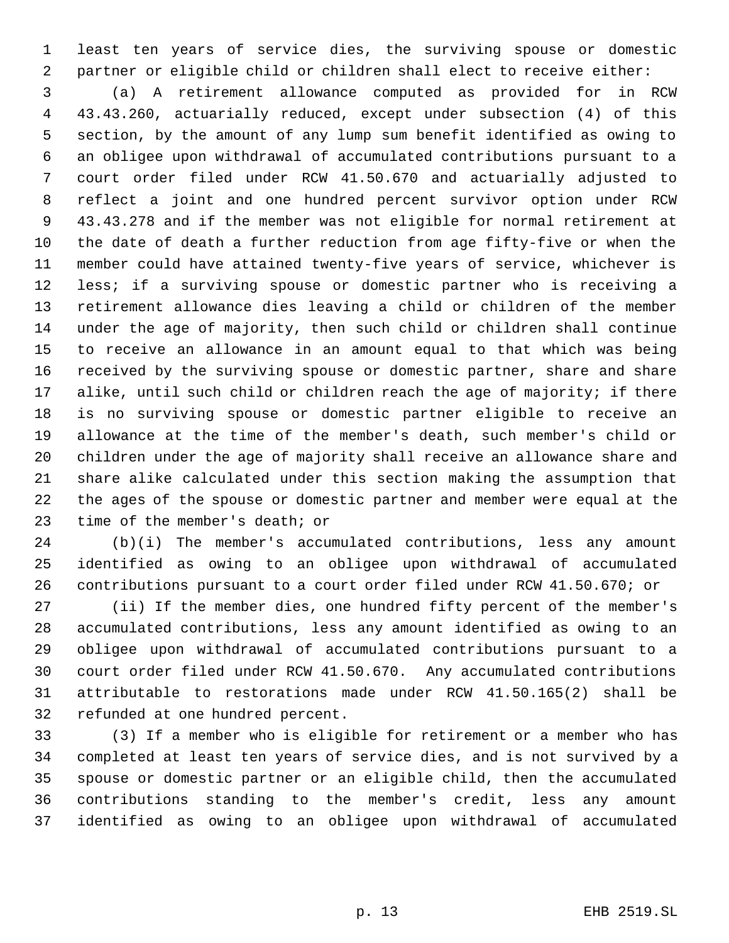least ten years of service dies, the surviving spouse or domestic partner or eligible child or children shall elect to receive either:

 (a) A retirement allowance computed as provided for in RCW 43.43.260, actuarially reduced, except under subsection (4) of this section, by the amount of any lump sum benefit identified as owing to an obligee upon withdrawal of accumulated contributions pursuant to a court order filed under RCW 41.50.670 and actuarially adjusted to reflect a joint and one hundred percent survivor option under RCW 43.43.278 and if the member was not eligible for normal retirement at the date of death a further reduction from age fifty-five or when the member could have attained twenty-five years of service, whichever is less; if a surviving spouse or domestic partner who is receiving a retirement allowance dies leaving a child or children of the member under the age of majority, then such child or children shall continue to receive an allowance in an amount equal to that which was being received by the surviving spouse or domestic partner, share and share 17 alike, until such child or children reach the age of majority; if there is no surviving spouse or domestic partner eligible to receive an allowance at the time of the member's death, such member's child or children under the age of majority shall receive an allowance share and share alike calculated under this section making the assumption that the ages of the spouse or domestic partner and member were equal at the time of the member's death; or

 (b)(i) The member's accumulated contributions, less any amount identified as owing to an obligee upon withdrawal of accumulated contributions pursuant to a court order filed under RCW 41.50.670; or

 (ii) If the member dies, one hundred fifty percent of the member's accumulated contributions, less any amount identified as owing to an obligee upon withdrawal of accumulated contributions pursuant to a court order filed under RCW 41.50.670. Any accumulated contributions attributable to restorations made under RCW 41.50.165(2) shall be refunded at one hundred percent.

 (3) If a member who is eligible for retirement or a member who has completed at least ten years of service dies, and is not survived by a spouse or domestic partner or an eligible child, then the accumulated contributions standing to the member's credit, less any amount identified as owing to an obligee upon withdrawal of accumulated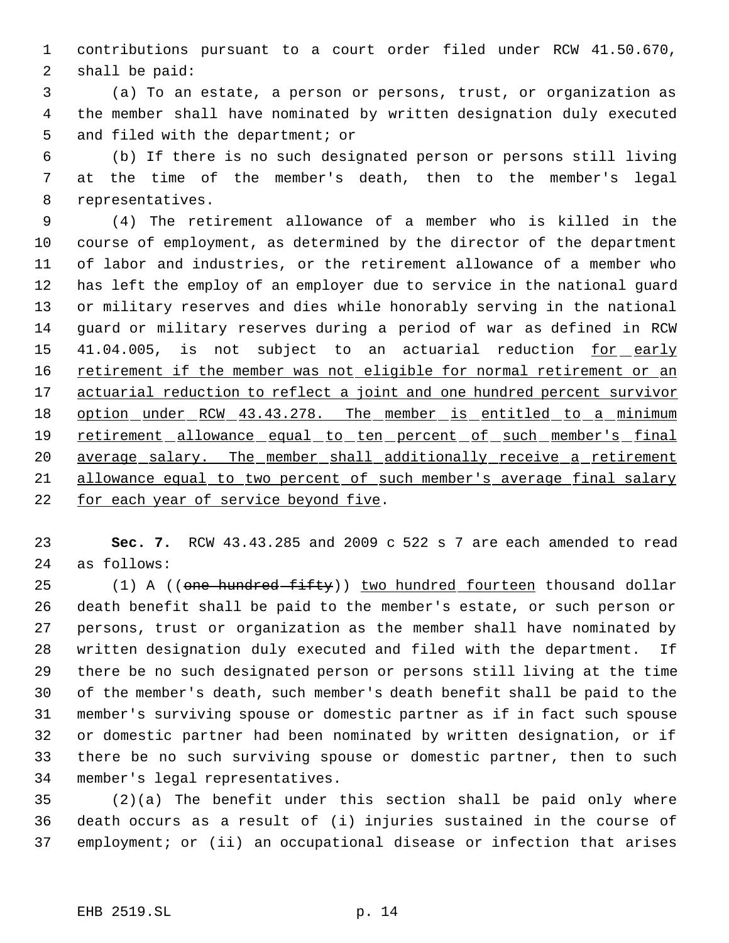contributions pursuant to a court order filed under RCW 41.50.670, shall be paid:

 (a) To an estate, a person or persons, trust, or organization as the member shall have nominated by written designation duly executed and filed with the department; or

 (b) If there is no such designated person or persons still living at the time of the member's death, then to the member's legal representatives.

 (4) The retirement allowance of a member who is killed in the course of employment, as determined by the director of the department of labor and industries, or the retirement allowance of a member who has left the employ of an employer due to service in the national guard or military reserves and dies while honorably serving in the national guard or military reserves during a period of war as defined in RCW 15 41.04.005, is not subject to an actuarial reduction for early 16 retirement if the member was not eligible for normal retirement or an 17 actuarial reduction to reflect a joint and one hundred percent survivor 18 option under RCW 43.43.278. The member is entitled to a minimum 19 retirement allowance equal to ten percent of such member's final 20 average salary. The member shall additionally receive a retirement allowance equal to two percent of such member's average final salary 22 for each year of service beyond five.

 **Sec. 7.** RCW 43.43.285 and 2009 c 522 s 7 are each amended to read as follows:

25 (1) A ((one hundred fifty)) two hundred fourteen thousand dollar death benefit shall be paid to the member's estate, or such person or persons, trust or organization as the member shall have nominated by written designation duly executed and filed with the department. If there be no such designated person or persons still living at the time of the member's death, such member's death benefit shall be paid to the member's surviving spouse or domestic partner as if in fact such spouse or domestic partner had been nominated by written designation, or if there be no such surviving spouse or domestic partner, then to such member's legal representatives.

 (2)(a) The benefit under this section shall be paid only where death occurs as a result of (i) injuries sustained in the course of employment; or (ii) an occupational disease or infection that arises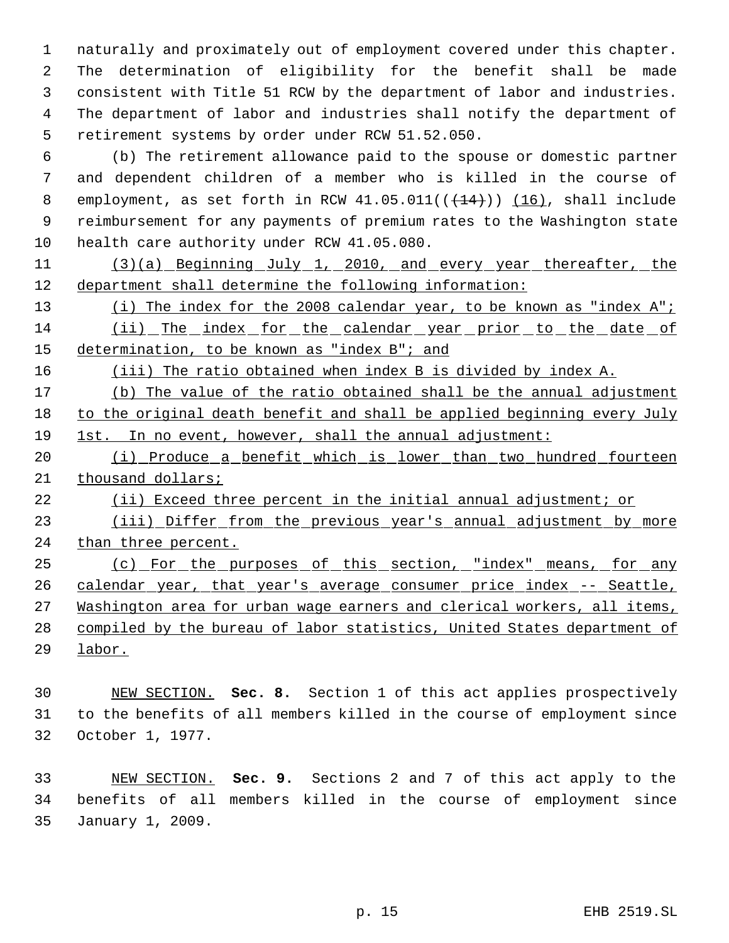naturally and proximately out of employment covered under this chapter. The determination of eligibility for the benefit shall be made consistent with Title 51 RCW by the department of labor and industries. The department of labor and industries shall notify the department of retirement systems by order under RCW 51.52.050.

 (b) The retirement allowance paid to the spouse or domestic partner and dependent children of a member who is killed in the course of 8 employment, as set forth in RCW  $41.05.011((\leftarrow +14)))(16)$ , shall include reimbursement for any payments of premium rates to the Washington state 10 health care authority under RCW 41.05.080.

11 (3)(a) Beginning July 1, 2010, and every year thereafter, the department shall determine the following information:

13 (i) The index for the 2008 calendar year, to be known as "index A"; (ii) The index for the calendar year prior to the date of determination, to be known as "index B"; and

(iii) The ratio obtained when index B is divided by index A.

17 (b) The value of the ratio obtained shall be the annual adjustment to the original death benefit and shall be applied beginning every July 1st. In no event, however, shall the annual adjustment:

 (i) Produce a benefit which is lower than two hundred fourteen 21 thousand dollars;

(ii) Exceed three percent in the initial annual adjustment; or

23 (iii) Differ from the previous year's annual adjustment by more 24 than three percent.

 (c) For the purposes of this section, "index" means, for any 26 calendar year, that year's average consumer price index -- Seattle, 27 Washington area for urban wage earners and clerical workers, all items, compiled by the bureau of labor statistics, United States department of labor.

 NEW SECTION. **Sec. 8.** Section 1 of this act applies prospectively to the benefits of all members killed in the course of employment since October 1, 1977.

 NEW SECTION. **Sec. 9.** Sections 2 and 7 of this act apply to the benefits of all members killed in the course of employment since January 1, 2009.